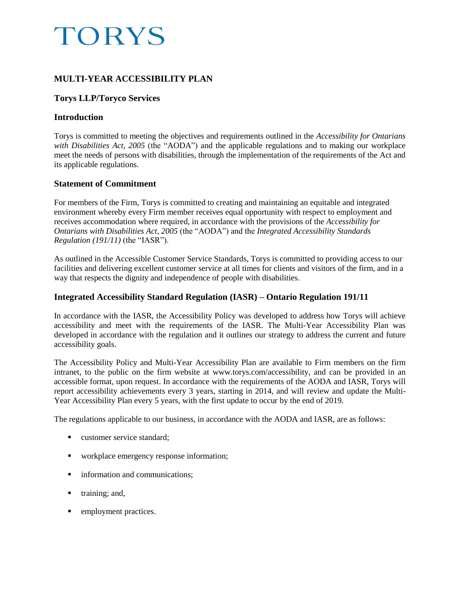# **TORYS**

# **MULTI-YEAR ACCESSIBILITY PLAN**

# **Torys LLP/Toryco Services**

## **Introduction**

Torys is committed to meeting the objectives and requirements outlined in the *Accessibility for Ontarians with Disabilities Act, 2005* (the "AODA") and the applicable regulations and to making our workplace meet the needs of persons with disabilities, through the implementation of the requirements of the Act and its applicable regulations.

# **Statement of Commitment**

For members of the Firm, Torys is committed to creating and maintaining an equitable and integrated environment whereby every Firm member receives equal opportunity with respect to employment and receives accommodation where required, in accordance with the provisions of the *Accessibility for Ontarians with Disabilities Act, 2005* (the "AODA") and the *Integrated Accessibility Standards Regulation (191/11)* (the "IASR").

As outlined in the [Accessible Customer Service Standards,](http://www.torys.com/Pages/accessibility.aspx#acss) Torys is committed to providing access to our facilities and delivering excellent customer service at all times for clients and visitors of the firm, and in a way that respects the dignity and independence of people with disabilities.

# **Integrated Accessibility Standard Regulation (IASR) – Ontario Regulation 191/11**

In accordance with the IASR, the Accessibility Policy was developed to address how Torys will achieve accessibility and meet with the requirements of the IASR. The Multi-Year Accessibility Plan was developed in accordance with the regulation and it outlines our strategy to address the current and future accessibility goals.

The Accessibility Policy and Multi-Year Accessibility Plan are available to Firm members on the firm intranet, to the public on the firm website at [www.torys.com/accessibility,](http://www.torys.com/accessibility) and can be provided in an accessible format, upon request. In accordance with the requirements of the AODA and IASR, Torys will report accessibility achievements every 3 years, starting in 2014, and will review and update the Multi-Year Accessibility Plan every 5 years, with the first update to occur by the end of 2019.

The regulations applicable to our business, in accordance with the AODA and IASR, are as follows:

- customer service standard:
- workplace emergency response information;
- **information and communications;**
- $\blacksquare$  training; and,
- **EXECUTE:** employment practices.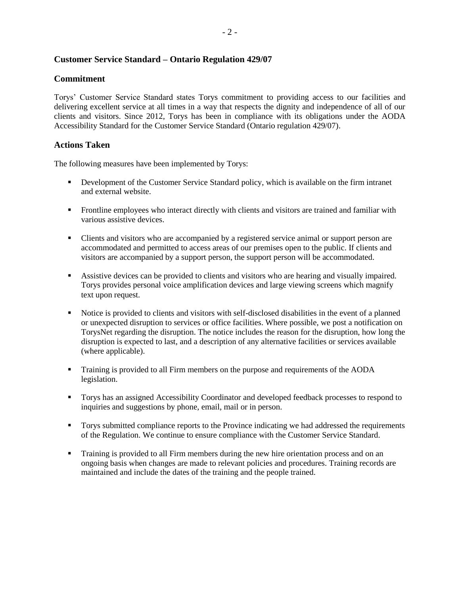### **Customer Service Standard – Ontario Regulation 429/07**

#### **Commitment**

Torys' Customer Service Standard states Torys commitment to providing access to our facilities and delivering excellent service at all times in a way that respects the dignity and independence of all of our clients and visitors. Since 2012, Torys has been in compliance with its obligations under the AODA Accessibility Standard for the Customer Service Standard (Ontario regulation 429/07).

### **Actions Taken**

The following measures have been implemented by Torys:

- Development of the Customer Service Standard policy, which is available on the firm intranet and external website.
- **Frontline employees who interact directly with clients and visitors are trained and familiar with** various assistive devices.
- Clients and visitors who are accompanied by a registered service animal or support person are accommodated and permitted to access areas of our premises open to the public. If clients and visitors are accompanied by a support person, the support person will be accommodated.
- Assistive devices can be provided to clients and visitors who are hearing and visually impaired. Torys provides personal voice amplification devices and large viewing screens which magnify text upon request.
- Notice is provided to clients and visitors with self-disclosed disabilities in the event of a planned or unexpected disruption to services or office facilities. Where possible, we post a notification on TorysNet regarding the disruption. The notice includes the reason for the disruption, how long the disruption is expected to last, and a description of any alternative facilities or services available (where applicable).
- Training is provided to all Firm members on the purpose and requirements of the AODA legislation.
- Torys has an assigned Accessibility Coordinator and developed feedback processes to respond to inquiries and suggestions by phone, email, mail or in person.
- Torys submitted compliance reports to the Province indicating we had addressed the requirements of the Regulation. We continue to ensure compliance with the Customer Service Standard.
- **Training is provided to all Firm members during the new hire orientation process and on an** ongoing basis when changes are made to relevant policies and procedures. Training records are maintained and include the dates of the training and the people trained.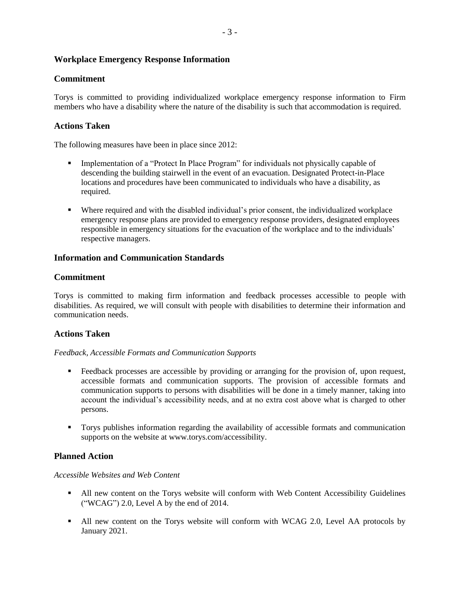## **Workplace Emergency Response Information**

## **Commitment**

Torys is committed to providing individualized workplace emergency response information to Firm members who have a disability where the nature of the disability is such that accommodation is required.

# **Actions Taken**

The following measures have been in place since 2012:

- **Implementation of a "Protect In Place Program" for individuals not physically capable of** descending the building stairwell in the event of an evacuation. Designated Protect-in-Place locations and procedures have been communicated to individuals who have a disability, as required.
- Where required and with the disabled individual's prior consent, the individualized workplace emergency response plans are provided to emergency response providers, designated employees responsible in emergency situations for the evacuation of the workplace and to the individuals' respective managers.

## **Information and Communication Standards**

## **Commitment**

Torys is committed to making firm information and feedback processes accessible to people with disabilities. As required, we will consult with people with disabilities to determine their information and communication needs.

## **Actions Taken**

#### *Feedback, Accessible Formats and Communication Supports*

- **Feedback processes are accessible by providing or arranging for the provision of, upon request,** accessible formats and communication supports. The provision of accessible formats and communication supports to persons with disabilities will be done in a timely manner, taking into account the individual's accessibility needs, and at no extra cost above what is charged to other persons.
- Torys publishes information regarding the availability of accessible formats and communication supports on the website at [www.torys.com/accessibility.](http://www.torys.com/Pages/accessibility.aspx)

## **Planned Action**

#### *Accessible Websites and Web Content*

- All new content on the Torys website will conform with Web Content Accessibility Guidelines ("WCAG") 2.0, Level A by the end of 2014.
- All new content on the Torys website will conform with WCAG 2.0, Level AA protocols by January 2021.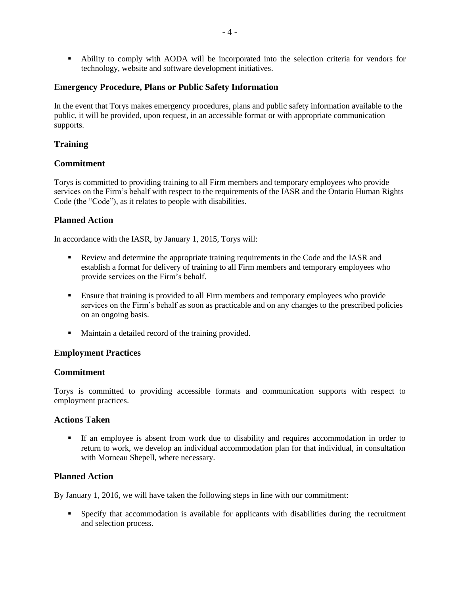Ability to comply with AODA will be incorporated into the selection criteria for vendors for technology, website and software development initiatives.

## **Emergency Procedure, Plans or Public Safety Information**

In the event that Torys makes emergency procedures, plans and public safety information available to the public, it will be provided, upon request, in an accessible format or with appropriate communication supports.

# **Training**

## **Commitment**

Torys is committed to providing training to all Firm members and temporary employees who provide services on the Firm's behalf with respect to the requirements of the IASR and the Ontario Human Rights Code (the "Code"), as it relates to people with disabilities.

## **Planned Action**

In accordance with the IASR, by January 1, 2015, Torys will:

- Review and determine the appropriate training requirements in the Code and the IASR and establish a format for delivery of training to all Firm members and temporary employees who provide services on the Firm's behalf.
- **Ensure that training is provided to all Firm members and temporary employees who provide** services on the Firm's behalf as soon as practicable and on any changes to the prescribed policies on an ongoing basis.
- Maintain a detailed record of the training provided.

## **Employment Practices**

#### **Commitment**

Torys is committed to providing accessible formats and communication supports with respect to employment practices.

#### **Actions Taken**

 If an employee is absent from work due to disability and requires accommodation in order to return to work, we develop an individual accommodation plan for that individual, in consultation with Morneau Shepell, where necessary.

## **Planned Action**

By January 1, 2016, we will have taken the following steps in line with our commitment:

 Specify that accommodation is available for applicants with disabilities during the recruitment and selection process.